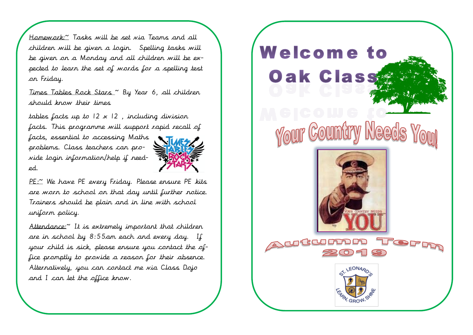Homework:~ Tasks will be set via Teams and all children will be given a login. Spelling tasks will be given on a Monday and all children will be expected to learn the set of words for a spelling test on Friday.

Times Tables Rock Stars ~ By Year 6, all children should know their times

tables facts up to  $12 \times 12$ , including division facts. This programme will support rapid recall of facts, essential to accessing Maths problems. Class teachers can provide login information/help if need-

ed.



PE:~ We have PE every Friday. Please ensure PE kits are worn to school on that day until further notice. Trainers should be plain and in line with school uniform policy.

 $\Delta$ ttendance: $\degree$  It is extremely important that children are in school by 8:55am each and every day. If your child is sick, please ensure you contact the office promptly to provide a reason for their absence. Alternatively, you can contact me via Class Dojo and I can let the office know.